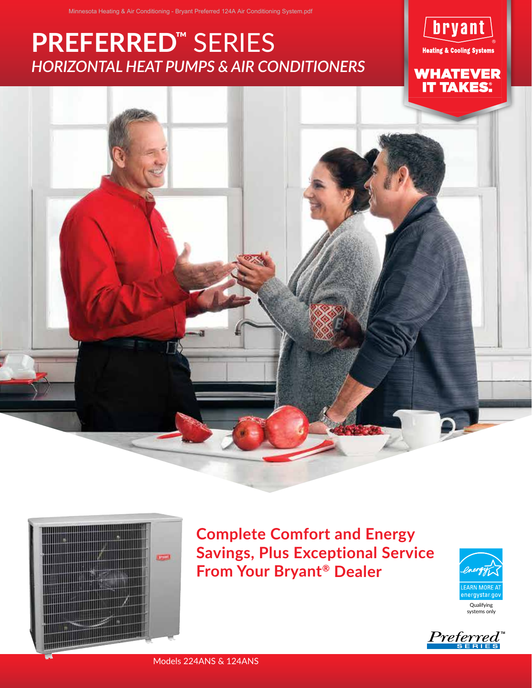# *HORIZONTAL HEAT PUMPS & AIR CONDITIONERS* **PREFERRED™** SERIES



**WHATEVER<br>IT TAKES:** 





**Complete Comfort and Energy Savings, Plus Exceptional Service From Your Bryant® Dealer**



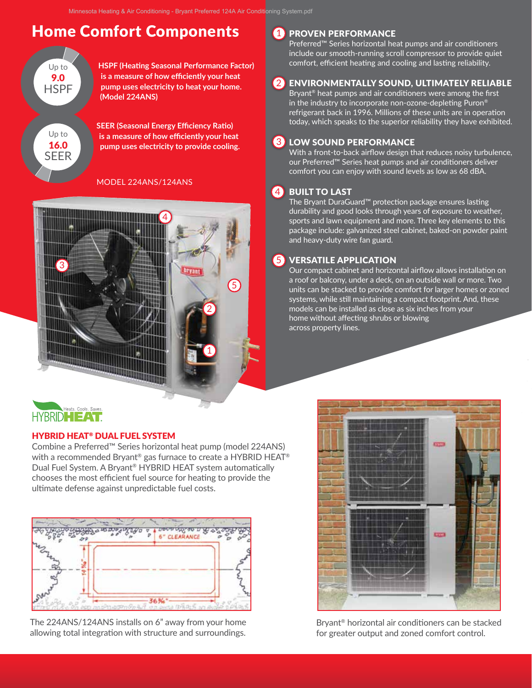# **Home Comfort Components**



**HSPF (Heating Seasonal Performance Factor)**  3 1 **is a measure of how efficiently your heat pump uses electricity to heat your home. (Model 224ANS)**

**SEER (Seasonal Energy Efficiency Ratio) is a measure of how efficiently your heat pump uses electricity to provide cooling.** 

## 2 2 MODEL 224ANS/124ANS



## **1** PROVEN PERFORMANCE

Preferred™ Series horizontal heat pumps and air conditioners include our smooth-running scroll compressor to provide quiet comfort, efficient heating and cooling and lasting reliability.

# 2 ENVIRONMENTALLY SOUND, ULTIMATELY RELIABLE

Bryant<sup>®</sup> heat pumps and air conditioners were among the first in the industry to incorporate non-ozone-depleting Puron<sup>®</sup> refrigerant back in 1996. Millions of these units are in operation today, which speaks to the superior reliability they have exhibited.

#### LOW SOUND PERFORMANCE  $\overline{3}$

With a front-to-back airflow design that reduces noisy turbulence, our Preferred™ Series heat pumps and air conditioners deliver comfort you can enjoy with sound levels as low as 68 dBA.

#### BUILT TO LAST 4

The Bryant DuraGuard™ protection package ensures lasting durability and good looks through years of exposure to weather, sports and lawn equipment and more. Three key elements to this package include: galvanized steel cabinet, baked-on powder paint and heavy-duty wire fan guard.

#### VERSATILE APPLICATION  $(5)$

Our compact cabinet and horizontal airflow allows installation on a roof or balcony, under a deck, on an outside wall or more. Two units can be stacked to provide comfort for larger homes or zoned systems, while still maintaining a compact footprint. And, these models can be installed as close as six inches from your home without affecting shrubs or blowing across property lines.

## Heats. Cools. Saves. **HYBRIDHEAT**

## HYBRID HEAT® DUAL FUEL SYSTEM

Combine a Preferred™ Series horizontal heat pump (model 224ANS) with a recommended Bryant® gas furnace to create a HYBRID HEAT® Dual Fuel System. A Bryant® HYBRID HEAT system automatically chooses the most efficient fuel source for heating to provide the ultimate defense against unpredictable fuel costs.



The 224ANS/124ANS installs on 6" away from your home allowing total integration with structure and surroundings.



Bryant® horizontal air conditioners can be stacked for greater output and zoned comfort control.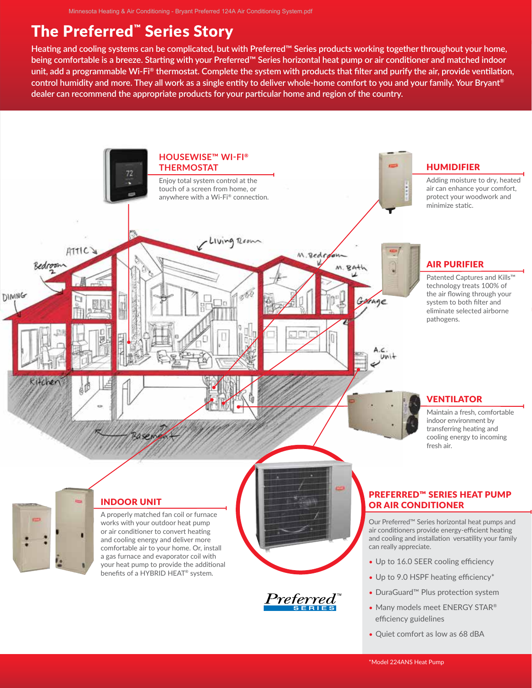# The Preferred™ Series Story

**Heating and cooling systems can be complicated, but with Preferred™ Series products working together throughout your home, being comfortable is a breeze. Starting with your Preferred™ Series horizontal heat pump or air conditioner and matched indoor unit, add a programmable Wi-Fi® thermostat. Complete the system with products that filter and purify the air, provide ventilation, control humidity and more. They all work as a single entity to deliver whole-home comfort to you and your family. Your Bryant® dealer can recommend the appropriate products for your particular home and region of the country.**

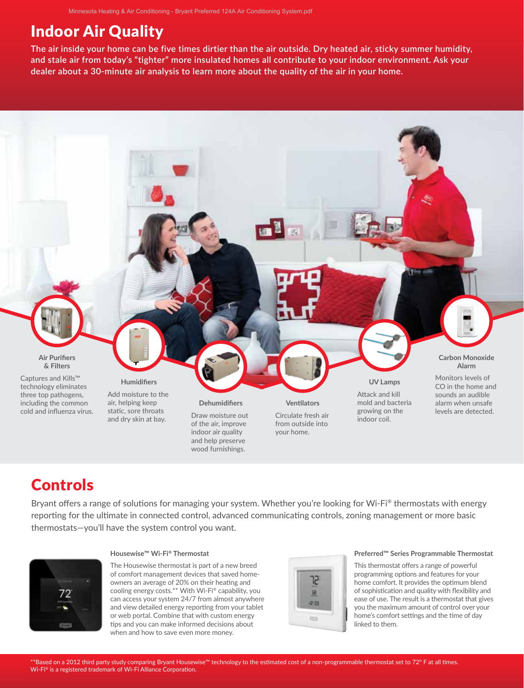# Indoor Air Quality

**The air inside your home can be five times dirtier than the air outside. Dry heated air, sticky summer humidity, and stale air from today's "tighter" more insulated homes all contribute to your indoor environment. Ask your dealer about a 30-minute air analysis to learn more about the quality of the air in your home.**



# Controls

Bryant offers a range of solutions for managing your system. Whether you're looking for Wi-Fi® thermostats with energy reporting for the ultimate in connected control, advanced communicating controls, zoning management or more basic thermostats—you'll have the system control you want.



#### **Housewise™ Wi-Fi® Thermostat**

The Housewise thermostat is part of a new breed of comfort management devices that saved homeowners an average of 20% on their heating and cooling energy costs.\*\* With Wi-Fi® capability, you can access your system 24/7 from almost anywhere and view detailed energy reporting from your tablet or web portal. Combine that with custom energy tips and you can make informed decisions about when and how to save even more money.



#### **Preferred™ Series Programmable Thermostat**

This thermostat offers a range of powerful programming options and features for your home comfort. It provides the optimum blend of sophistication and quality with flexibility and ease of use. The result is a thermostat that gives you the maximum amount of control over your home's comfort settings and the time of day linked to them.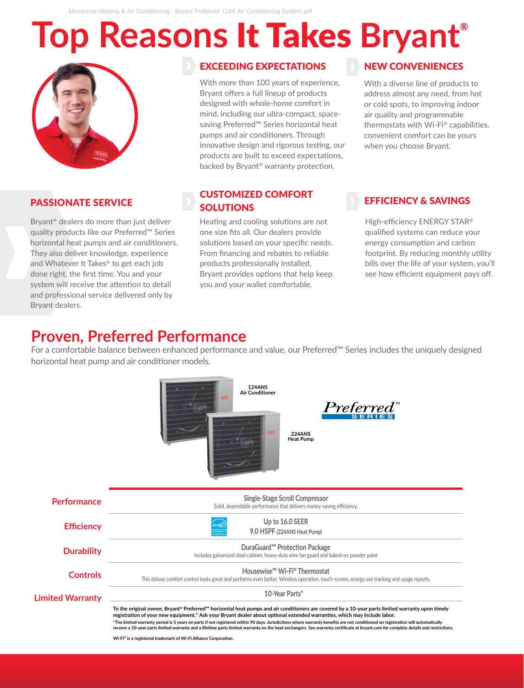Minnesota Heating & Air Conditioning - Bryant Preferred 124A Air Conditioning System.pdf

# **Top Reasons** It Takes **Bryant®**



# PASSIONATE SERVICE

Bryant® dealers do more than just deliver quality products like our Preferred™ Series horizontal heat pumps and air conditioners. They also deliver knowledge, experience and Whatever It Takes® to get each job done right, the first time. You and your system will receive the attention to detail and professional service delivered only by Bryant dealers.

## EXCEEDING EXPECTATIONS

With more than 100 years of experience, Bryant offers a full lineup of products designed with whole-home comfort in mind, including our ultra-compact, spacesaving Preferred™ Series horizontal heat pumps and air conditioners. Through innovative design and rigorous testing, our products are built to exceed expectations, backed by Bryant® warranty protection.

## CUSTOMIZED COMFORT **SOLUTIONS**

Heating and cooling solutions are not one size fits all. Our dealers provide solutions based on your specific needs. From financing and rebates to reliable products professionally installed, Bryant provides options that help keep you and your wallet comfortable.

# NEW CONVENIENCES

With a diverse line of products to address almost any need, from hot or cold spots, to improving indoor air quality and programmable thermostats with Wi-Fi® capabilities, convenient comfort can be yours when you choose Bryant.

## EFFICIENCY & SAVINGS

High-efficiency ENERGY STAR® qualified systems can reduce your energy consumption and carbon footprint. By reducing monthly utility bills over the life of your system, you'll see how efficient equipment pays off.

# **Proven, Preferred Performance**

For a comfortable balance between enhanced performance and value, our Preferred™ Series includes the uniquely designed horizontal heat pump and air conditioner models.

|                         | <b>124ANS</b><br><b>Air Conditioner</b><br>$Preferred^*$<br><b>224ANS</b><br><b>Heat Pump</b>                                                                                                                                                                                                                                                                                                                                                                                                                                                                                                                                                           |
|-------------------------|---------------------------------------------------------------------------------------------------------------------------------------------------------------------------------------------------------------------------------------------------------------------------------------------------------------------------------------------------------------------------------------------------------------------------------------------------------------------------------------------------------------------------------------------------------------------------------------------------------------------------------------------------------|
| Performance             | <b>Single-Stage Scroll Compressor</b><br>Solid, dependable performance that delivers money-saving efficiency.                                                                                                                                                                                                                                                                                                                                                                                                                                                                                                                                           |
| <b>Efficiency</b>       | Up to 16.0 SEER<br>9.0 HSPF (224ANS Heat Pump)                                                                                                                                                                                                                                                                                                                                                                                                                                                                                                                                                                                                          |
| <b>Durability</b>       | DuraGuard <sup>™</sup> Protection Package<br>Includes galvanized steel cabinet, heavy-duty wire fan guard and baked-on powder paint                                                                                                                                                                                                                                                                                                                                                                                                                                                                                                                     |
| <b>Controls</b>         | Housewise <sup>™</sup> Wi-Fi® Thermostat<br>This deluxe comfort control looks great and performs even better. Wireless operation, touch-screen, energy use tracking and usage reports.                                                                                                                                                                                                                                                                                                                                                                                                                                                                  |
| <b>Limited Warranty</b> | 10-Year Parts*                                                                                                                                                                                                                                                                                                                                                                                                                                                                                                                                                                                                                                          |
|                         | To the original owner, Bryant® Preferred™ horizontal heat pumps and air conditioners are covered by a 10-year parts limited warranty upon timely<br>registration of your new equipment.* Ask your Bryant dealer about optional extended warranties, which may include labor.<br>*The limited warranty period is 5 years on parts if not registered within 90 days. Jurisdictions where warranty benefits are not conditioned on registration will automatically<br>receive a 10-year parts limited warranty and a lifetime parts limited warranty on the heat exchangers. See warranty certificate at bryant.com for complete details and restrictions. |

**Wi-Fi® is a registered trademark of Wi-Fi Alliance Corporation.**